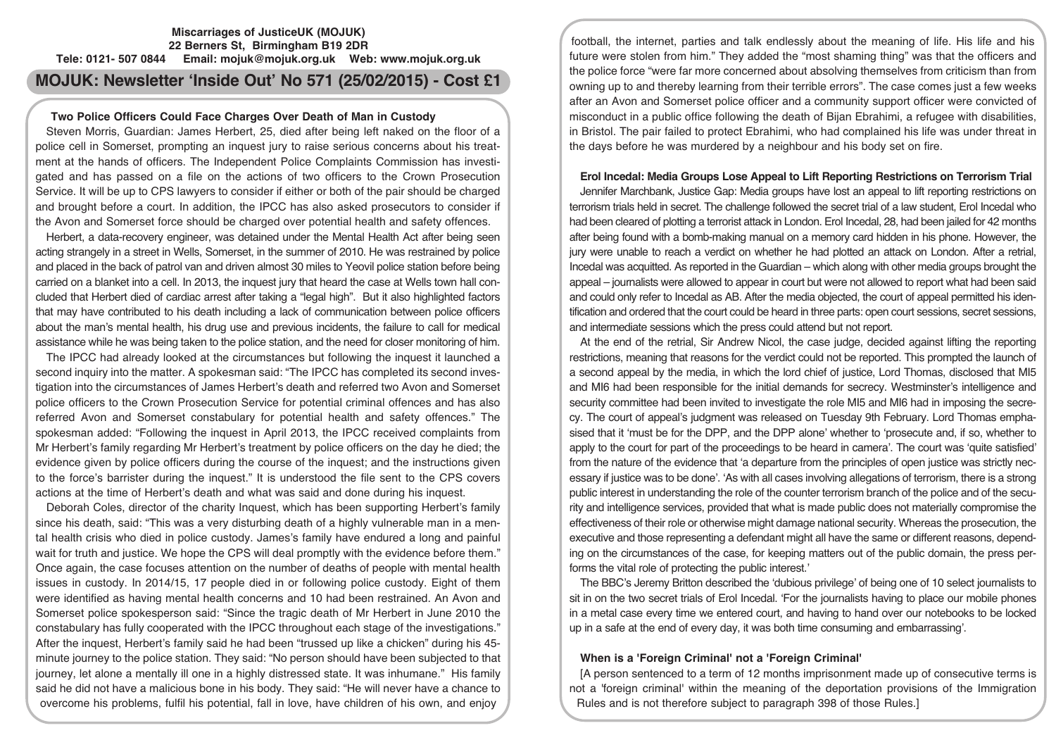### **Miscarriages of JusticeUK (MOJUK) 22 Berners St, Birmingham B19 2DR Tele: 0121- 507 0844 Email: mojuk@mojuk.org.uk Web: www.mojuk.org.uk**

# **MOJUK: Newsletter 'Inside Out' No 571 (25/02/2015) - Cost £1**

# **Two Police Officers Could Face Charges Over Death of Man in Custody**

Steven Morris, Guardian: James Herbert, 25, died after being left naked on the floor of a police cell in Somerset, prompting an inquest jury to raise serious concerns about his treatment at the hands of officers. The Independent Police Complaints Commission has investigated and has passed on a file on the actions of two officers to the Crown Prosecution Service. It will be up to CPS lawyers to consider if either or both of the pair should be charged and brought before a court. In addition, the IPCC has also asked prosecutors to consider if the Avon and Somerset force should be charged over potential health and safety offences.

Herbert, a data-recovery engineer, was detained under the Mental Health Act after being seen acting strangely in a street in Wells, Somerset, in the summer of 2010. He was restrained by police and placed in the back of patrol van and driven almost 30 miles to Yeovil police station before being carried on a blanket into a cell. In 2013, the inquest jury that heard the case at Wells town hall concluded that Herbert died of cardiac arrest after taking a "legal high". But it also highlighted factors that may have contributed to his death including a lack of communication between police officers about the man's mental health, his drug use and previous incidents, the failure to call for medical assistance while he was being taken to the police station, and the need for closer monitoring of him.

The IPCC had already looked at the circumstances but following the inquest it launched a second inquiry into the matter. A spokesman said: "The IPCC has completed its second investigation into the circumstances of James Herbert's death and referred two Avon and Somerset police officers to the Crown Prosecution Service for potential criminal offences and has also referred Avon and Somerset constabulary for potential health and safety offences." The spokesman added: "Following the inquest in April 2013, the IPCC received complaints from Mr Herbert's family regarding Mr Herbert's treatment by police officers on the day he died; the evidence given by police officers during the course of the inquest; and the instructions given to the force's barrister during the inquest." It is understood the file sent to the CPS covers actions at the time of Herbert's death and what was said and done during his inquest.

Deborah Coles, director of the charity Inquest, which has been supporting Herbert's family since his death, said: "This was a very disturbing death of a highly vulnerable man in a mental health crisis who died in police custody. James's family have endured a long and painful wait for truth and justice. We hope the CPS will deal promptly with the evidence before them." Once again, the case focuses attention on the number of deaths of people with mental health issues in custody. In 2014/15, 17 people died in or following police custody. Eight of them were identified as having mental health concerns and 10 had been restrained. An Avon and Somerset police spokesperson said: "Since the tragic death of Mr Herbert in June 2010 the constabulary has fully cooperated with the IPCC throughout each stage of the investigations." After the inquest, Herbert's family said he had been "trussed up like a chicken" during his 45 minute journey to the police station. They said: "No person should have been subjected to that journey, let alone a mentally ill one in a highly distressed state. It was inhumane." His family said he did not have a malicious bone in his body. They said: "He will never have a chance to overcome his problems, fulfil his potential, fall in love, have children of his own, and enjoy

football, the internet, parties and talk endlessly about the meaning of life. His life and his future were stolen from him." They added the "most shaming thing" was that the officers and the police force "were far more concerned about absolving themselves from criticism than from owning up to and thereby learning from their terrible errors". The case comes just a few weeks after an Avon and Somerset police officer and a community support officer were convicted of misconduct in a public office following the death of Bijan Ebrahimi, a refugee with disabilities, in Bristol. The pair failed to protect Ebrahimi, who had complained his life was under threat in the days before he was murdered by a neighbour and his body set on fire.

# **Erol Incedal: Media Groups Lose Appeal to Lift Reporting Restrictions on Terrorism Trial**

Jennifer Marchbank, Justice Gap: Media groups have lost an appeal to lift reporting restrictions on terrorism trials held in secret. The challenge followed the secret trial of a law student, Erol Incedal who had been cleared of plotting a terrorist attack in London. Erol Incedal, 28, had been jailed for 42 months after being found with a bomb-making manual on a memory card hidden in his phone. However, the jury were unable to reach a verdict on whether he had plotted an attack on London. After a retrial, Incedal was acquitted. As reported in the Guardian – which along with other media groups brought the appeal – journalists were allowed to appear in court but were not allowed to report what had been said and could only refer to Incedal as AB. After the media objected, the court of appeal permitted his identification and ordered that the court could be heard in three parts: open court sessions, secret sessions, and intermediate sessions which the press could attend but not report.

At the end of the retrial, Sir Andrew Nicol, the case judge, decided against lifting the reporting restrictions, meaning that reasons for the verdict could not be reported. This prompted the launch of a second appeal by the media, in which the lord chief of justice, Lord Thomas, disclosed that MI5 and MI6 had been responsible for the initial demands for secrecy. Westminster's intelligence and security committee had been invited to investigate the role MI5 and MI6 had in imposing the secrecy. The court of appeal's judgment was released on Tuesday 9th February. Lord Thomas emphasised that it 'must be for the DPP, and the DPP alone' whether to 'prosecute and, if so, whether to apply to the court for part of the proceedings to be heard in camera'. The court was 'quite satisfied' from the nature of the evidence that 'a departure from the principles of open justice was strictly necessary if justice was to be done'. 'As with all cases involving allegations of terrorism, there is a strong public interest in understanding the role of the counter terrorism branch of the police and of the security and intelligence services, provided that what is made public does not materially compromise the effectiveness of their role or otherwise might damage national security. Whereas the prosecution, the executive and those representing a defendant might all have the same or different reasons, depending on the circumstances of the case, for keeping matters out of the public domain, the press performs the vital role of protecting the public interest.'

The BBC's Jeremy Britton described the 'dubious privilege' of being one of 10 select journalists to sit in on the two secret trials of Erol Incedal. 'For the journalists having to place our mobile phones in a metal case every time we entered court, and having to hand over our notebooks to be locked up in a safe at the end of every day, it was both time consuming and embarrassing'.

### **When is a 'Foreign Criminal' not a 'Foreign Criminal'**

[A person sentenced to a term of 12 months imprisonment made up of consecutive terms is not a 'foreign criminal' within the meaning of the deportation provisions of the Immigration Rules and is not therefore subject to paragraph 398 of those Rules.]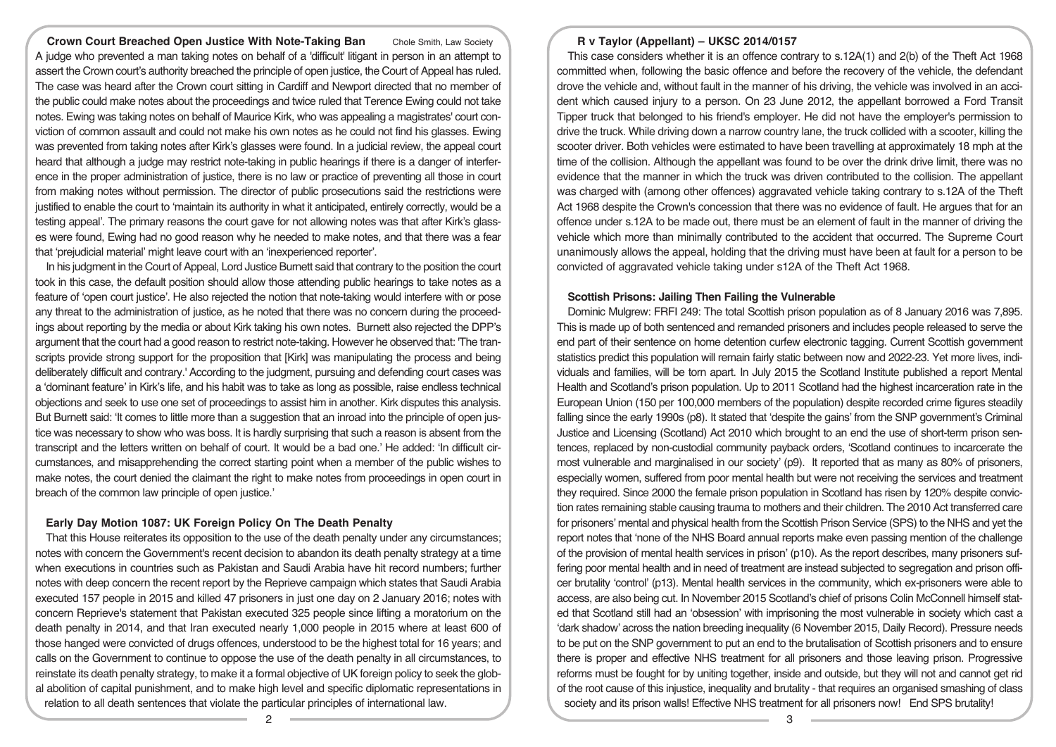**Crown Court Breached Open Justice With Note-Taking Ban** Chole Smith, Law Society A judge who prevented a man taking notes on behalf of a 'difficult' litigant in person in an attempt to assert the Crown court's authority breached the principle of open justice, the Court of Appeal has ruled. The case was heard after the Crown court sitting in Cardiff and Newport directed that no member of the public could make notes about the proceedings and twice ruled that Terence Ewing could not take notes. Ewing was taking notes on behalf of Maurice Kirk, who was appealing a magistrates' court conviction of common assault and could not make his own notes as he could not find his glasses. Ewing was prevented from taking notes after Kirk's glasses were found. In a judicial review, the appeal court heard that although a judge may restrict note-taking in public hearings if there is a danger of interference in the proper administration of justice, there is no law or practice of preventing all those in court from making notes without permission. The director of public prosecutions said the restrictions were justified to enable the court to 'maintain its authority in what it anticipated, entirely correctly, would be a testing appeal'. The primary reasons the court gave for not allowing notes was that after Kirk's glasses were found, Ewing had no good reason why he needed to make notes, and that there was a fear that 'prejudicial material' might leave court with an 'inexperienced reporter'.

In his judgment in the Court of Appeal, Lord Justice Burnett said that contrary to the position the court took in this case, the default position should allow those attending public hearings to take notes as a feature of 'open court justice'. He also rejected the notion that note-taking would interfere with or pose any threat to the administration of justice, as he noted that there was no concern during the proceedings about reporting by the media or about Kirk taking his own notes. Burnett also rejected the DPP's argument that the court had a good reason to restrict note-taking. However he observed that: 'The transcripts provide strong support for the proposition that [Kirk] was manipulating the process and being deliberately difficult and contrary.' According to the judgment, pursuing and defending court cases was a 'dominant feature' in Kirk's life, and his habit was to take as long as possible, raise endless technical objections and seek to use one set of proceedings to assist him in another. Kirk disputes this analysis. But Burnett said: 'It comes to little more than a suggestion that an inroad into the principle of open justice was necessary to show who was boss. It is hardly surprising that such a reason is absent from the transcript and the letters written on behalf of court. It would be a bad one.' He added: 'In difficult circumstances, and misapprehending the correct starting point when a member of the public wishes to make notes, the court denied the claimant the right to make notes from proceedings in open court in breach of the common law principle of open justice.'

# **Early Day Motion 1087: UK Foreign Policy On The Death Penalty**

That this House reiterates its opposition to the use of the death penalty under any circumstances; notes with concern the Government's recent decision to abandon its death penalty strategy at a time when executions in countries such as Pakistan and Saudi Arabia have hit record numbers; further notes with deep concern the recent report by the Reprieve campaign which states that Saudi Arabia executed 157 people in 2015 and killed 47 prisoners in just one day on 2 January 2016; notes with concern Reprieve's statement that Pakistan executed 325 people since lifting a moratorium on the death penalty in 2014, and that Iran executed nearly 1,000 people in 2015 where at least 600 of those hanged were convicted of drugs offences, understood to be the highest total for 16 years; and calls on the Government to continue to oppose the use of the death penalty in all circumstances, to reinstate its death penalty strategy, to make it a formal objective of UK foreign policy to seek the global abolition of capital punishment, and to make high level and specific diplomatic representations in relation to all death sentences that violate the particular principles of international law.

## **R v Taylor (Appellant) – UKSC 2014/0157**

This case considers whether it is an offence contrary to s.12A(1) and 2(b) of the Theft Act 1968 committed when, following the basic offence and before the recovery of the vehicle, the defendant drove the vehicle and, without fault in the manner of his driving, the vehicle was involved in an accident which caused injury to a person. On 23 June 2012, the appellant borrowed a Ford Transit Tipper truck that belonged to his friend's employer. He did not have the employer's permission to drive the truck. While driving down a narrow country lane, the truck collided with a scooter, killing the scooter driver. Both vehicles were estimated to have been travelling at approximately 18 mph at the time of the collision. Although the appellant was found to be over the drink drive limit, there was no evidence that the manner in which the truck was driven contributed to the collision. The appellant was charged with (among other offences) aggravated vehicle taking contrary to s.12A of the Theft Act 1968 despite the Crown's concession that there was no evidence of fault. He argues that for an offence under s.12A to be made out, there must be an element of fault in the manner of driving the vehicle which more than minimally contributed to the accident that occurred. The Supreme Court unanimously allows the appeal, holding that the driving must have been at fault for a person to be convicted of aggravated vehicle taking under s12A of the Theft Act 1968.

# **Scottish Prisons: Jailing Then Failing the Vulnerable**

Dominic Mulgrew: FRFI 249: The total Scottish prison population as of 8 January 2016 was 7,895. This is made up of both sentenced and remanded prisoners and includes people released to serve the end part of their sentence on home detention curfew electronic tagging. Current Scottish government statistics predict this population will remain fairly static between now and 2022-23. Yet more lives, individuals and families, will be torn apart. In July 2015 the Scotland Institute published a report Mental Health and Scotland's prison population. Up to 2011 Scotland had the highest incarceration rate in the European Union (150 per 100,000 members of the population) despite recorded crime figures steadily falling since the early 1990s (p8). It stated that 'despite the gains' from the SNP government's Criminal Justice and Licensing (Scotland) Act 2010 which brought to an end the use of short-term prison sentences, replaced by non-custodial community payback orders, 'Scotland continues to incarcerate the most vulnerable and marginalised in our society' (p9). It reported that as many as 80% of prisoners, especially women, suffered from poor mental health but were not receiving the services and treatment they required. Since 2000 the female prison population in Scotland has risen by 120% despite conviction rates remaining stable causing trauma to mothers and their children. The 2010 Act transferred care for prisoners' mental and physical health from the Scottish Prison Service (SPS) to the NHS and yet the report notes that 'none of the NHS Board annual reports make even passing mention of the challenge of the provision of mental health services in prison' (p10). As the report describes, many prisoners suffering poor mental health and in need of treatment are instead subjected to segregation and prison officer brutality 'control' (p13). Mental health services in the community, which ex-prisoners were able to access, are also being cut. In November 2015 Scotland's chief of prisons Colin McConnell himself stated that Scotland still had an 'obsession' with imprisoning the most vulnerable in society which cast a 'dark shadow' across the nation breeding inequality (6 November 2015, Daily Record). Pressure needs to be put on the SNP government to put an end to the brutalisation of Scottish prisoners and to ensure there is proper and effective NHS treatment for all prisoners and those leaving prison. Progressive reforms must be fought for by uniting together, inside and outside, but they will not and cannot get rid of the root cause of this injustice, inequality and brutality - that requires an organised smashing of class society and its prison walls! Effective NHS treatment for all prisoners now! End SPS brutality!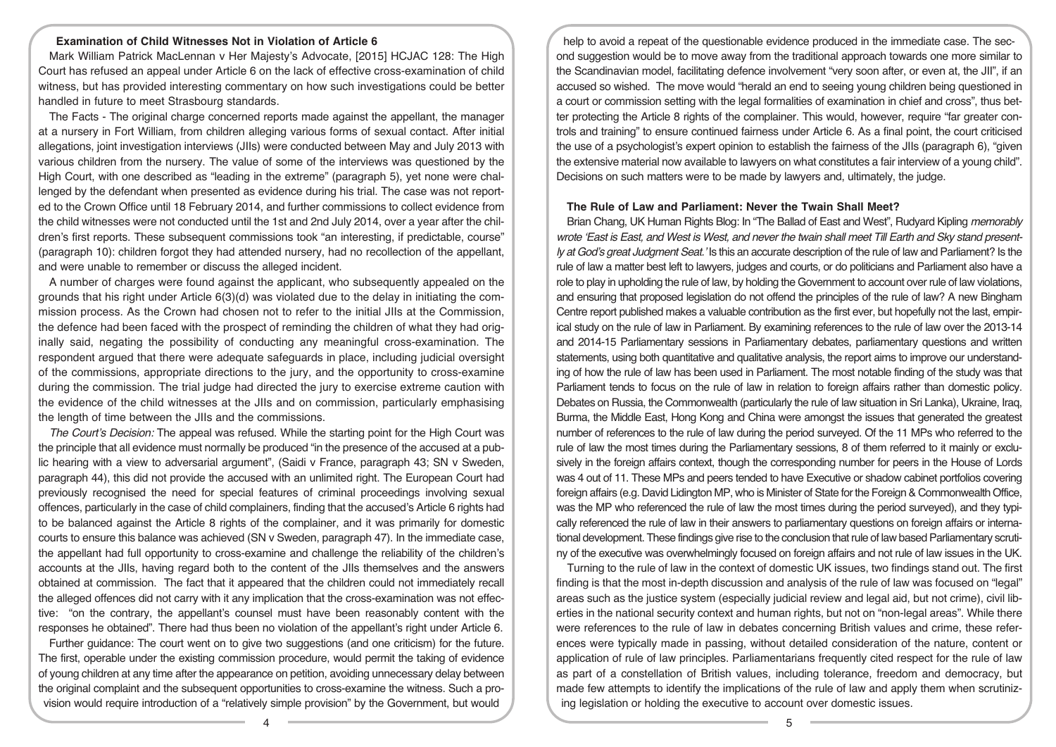# **Examination of Child Witnesses Not in Violation of Article 6**

Mark William Patrick MacLennan v Her Majesty's Advocate, [2015] HCJAC 128: The High Court has refused an appeal under Article 6 on the lack of effective cross-examination of child witness, but has provided interesting commentary on how such investigations could be better handled in future to meet Strasbourg standards.

The Facts - The original charge concerned reports made against the appellant, the manager at a nursery in Fort William, from children alleging various forms of sexual contact. After initial allegations, joint investigation interviews (JIIs) were conducted between May and July 2013 with various children from the nursery. The value of some of the interviews was questioned by the High Court, with one described as "leading in the extreme" (paragraph 5), yet none were challenged by the defendant when presented as evidence during his trial. The case was not reported to the Crown Office until 18 February 2014, and further commissions to collect evidence from the child witnesses were not conducted until the 1st and 2nd July 2014, over a year after the children's first reports. These subsequent commissions took "an interesting, if predictable, course" (paragraph 10): children forgot they had attended nursery, had no recollection of the appellant, and were unable to remember or discuss the alleged incident.

A number of charges were found against the applicant, who subsequently appealed on the grounds that his right under Article 6(3)(d) was violated due to the delay in initiating the commission process. As the Crown had chosen not to refer to the initial JIIs at the Commission, the defence had been faced with the prospect of reminding the children of what they had originally said, negating the possibility of conducting any meaningful cross-examination. The respondent argued that there were adequate safeguards in place, including judicial oversight of the commissions, appropriate directions to the jury, and the opportunity to cross-examine during the commission. The trial judge had directed the jury to exercise extreme caution with the evidence of the child witnesses at the JIIs and on commission, particularly emphasising the length of time between the JIIs and the commissions.

*The Court's Decision:* The appeal was refused. While the starting point for the High Court was the principle that all evidence must normally be produced "in the presence of the accused at a public hearing with a view to adversarial argument", (Saidi v France, paragraph 43; SN v Sweden, paragraph 44), this did not provide the accused with an unlimited right. The European Court had previously recognised the need for special features of criminal proceedings involving sexual offences, particularly in the case of child complainers, finding that the accused's Article 6 rights had to be balanced against the Article 8 rights of the complainer, and it was primarily for domestic courts to ensure this balance was achieved (SN v Sweden, paragraph 47). In the immediate case, the appellant had full opportunity to cross-examine and challenge the reliability of the children's accounts at the JIIs, having regard both to the content of the JIIs themselves and the answers obtained at commission. The fact that it appeared that the children could not immediately recall the alleged offences did not carry with it any implication that the cross-examination was not effective: "on the contrary, the appellant's counsel must have been reasonably content with the responses he obtained". There had thus been no violation of the appellant's right under Article 6.

Further guidance: The court went on to give two suggestions (and one criticism) for the future. The first, operable under the existing commission procedure, would permit the taking of evidence of young children at any time after the appearance on petition, avoiding unnecessary delay between the original complaint and the subsequent opportunities to cross-examine the witness. Such a provision would require introduction of a "relatively simple provision" by the Government, but would

help to avoid a repeat of the questionable evidence produced in the immediate case. The second suggestion would be to move away from the traditional approach towards one more similar to the Scandinavian model, facilitating defence involvement "very soon after, or even at, the JII", if an accused so wished. The move would "herald an end to seeing young children being questioned in a court or commission setting with the legal formalities of examination in chief and cross", thus better protecting the Article 8 rights of the complainer. This would, however, require "far greater controls and training" to ensure continued fairness under Article 6. As a final point, the court criticised the use of a psychologist's expert opinion to establish the fairness of the JIIs (paragraph 6), "given the extensive material now available to lawyers on what constitutes a fair interview of a young child". Decisions on such matters were to be made by lawyers and, ultimately, the judge.

#### **The Rule of Law and Parliament: Never the Twain Shall Meet?**

Brian Chang, UK Human Rights Blog: In "The Ballad of East and West", Rudyard Kipling *memorably* wrote 'East is East, and West is West, and never the twain shall meet Till Earth and Sky stand present*ly at God's great Judgment Seat.'* Is this an accurate description of the rule of law and Parliament? Is the rule of law a matter best left to lawyers, judges and courts, or do politicians and Parliament also have a role to play in upholding the rule of law, by holding the Government to account over rule of law violations, and ensuring that proposed legislation do not offend the principles of the rule of law? A new Bingham Centre report published makes a valuable contribution as the first ever, but hopefully not the last, empirical study on the rule of law in Parliament. By examining references to the rule of law over the 2013-14 and 2014-15 Parliamentary sessions in Parliamentary debates, parliamentary questions and written statements, using both quantitative and qualitative analysis, the report aims to improve our understanding of how the rule of law has been used in Parliament. The most notable finding of the study was that Parliament tends to focus on the rule of law in relation to foreign affairs rather than domestic policy. Debates on Russia, the Commonwealth (particularly the rule of law situation in Sri Lanka), Ukraine, Iraq, Burma, the Middle East, Hong Kong and China were amongst the issues that generated the greatest number of references to the rule of law during the period surveyed. Of the 11 MPs who referred to the rule of law the most times during the Parliamentary sessions, 8 of them referred to it mainly or exclusively in the foreign affairs context, though the corresponding number for peers in the House of Lords was 4 out of 11. These MPs and peers tended to have Executive or shadow cabinet portfolios covering foreign affairs (e.g. David Lidington MP, who is Minister of State for the Foreign & Commonwealth Office, was the MP who referenced the rule of law the most times during the period surveyed), and they typically referenced the rule of law in their answers to parliamentary questions on foreign affairs or international development. These findings give rise to the conclusion that rule of law based Parliamentary scrutiny of the executive was overwhelmingly focused on foreign affairs and not rule of law issues in the UK.

Turning to the rule of law in the context of domestic UK issues, two findings stand out. The first finding is that the most in-depth discussion and analysis of the rule of law was focused on "legal" areas such as the justice system (especially judicial review and legal aid, but not crime), civil liberties in the national security context and human rights, but not on "non-legal areas". While there were references to the rule of law in debates concerning British values and crime, these references were typically made in passing, without detailed consideration of the nature, content or application of rule of law principles. Parliamentarians frequently cited respect for the rule of law as part of a constellation of British values, including tolerance, freedom and democracy, but made few attempts to identify the implications of the rule of law and apply them when scrutinizing legislation or holding the executive to account over domestic issues.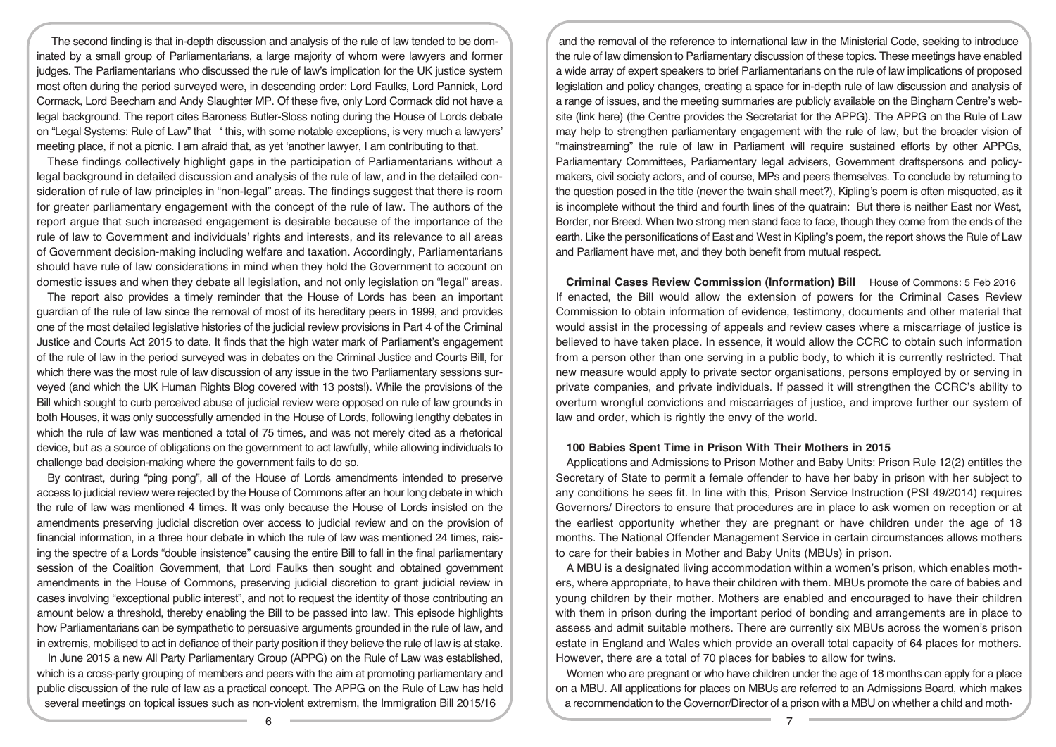The second finding is that in-depth discussion and analysis of the rule of law tended to be dominated by a small group of Parliamentarians, a large majority of whom were lawyers and former judges. The Parliamentarians who discussed the rule of law's implication for the UK justice system most often during the period surveyed were, in descending order: Lord Faulks, Lord Pannick, Lord Cormack, Lord Beecham and Andy Slaughter MP. Of these five, only Lord Cormack did not have a legal background. The report cites Baroness Butler-Sloss noting during the House of Lords debate on "Legal Systems: Rule of Law" that ' this, with some notable exceptions, is very much a lawyers' meeting place, if not a picnic. I am afraid that, as yet 'another lawyer, I am contributing to that.

These findings collectively highlight gaps in the participation of Parliamentarians without a legal background in detailed discussion and analysis of the rule of law, and in the detailed consideration of rule of law principles in "non-legal" areas. The findings suggest that there is room for greater parliamentary engagement with the concept of the rule of law. The authors of the report argue that such increased engagement is desirable because of the importance of the rule of law to Government and individuals' rights and interests, and its relevance to all areas of Government decision-making including welfare and taxation. Accordingly, Parliamentarians should have rule of law considerations in mind when they hold the Government to account on domestic issues and when they debate all legislation, and not only legislation on "legal" areas.

The report also provides a timely reminder that the House of Lords has been an important guardian of the rule of law since the removal of most of its hereditary peers in 1999, and provides one of the most detailed legislative histories of the judicial review provisions in Part 4 of the Criminal Justice and Courts Act 2015 to date. It finds that the high water mark of Parliament's engagement of the rule of law in the period surveyed was in debates on the Criminal Justice and Courts Bill, for which there was the most rule of law discussion of any issue in the two Parliamentary sessions surveyed (and which the UK Human Rights Blog covered with 13 posts!). While the provisions of the Bill which sought to curb perceived abuse of judicial review were opposed on rule of law grounds in both Houses, it was only successfully amended in the House of Lords, following lengthy debates in which the rule of law was mentioned a total of 75 times, and was not merely cited as a rhetorical device, but as a source of obligations on the government to act lawfully, while allowing individuals to challenge bad decision-making where the government fails to do so.

By contrast, during "ping pong", all of the House of Lords amendments intended to preserve access to judicial review were rejected by the House of Commons after an hour long debate in which the rule of law was mentioned 4 times. It was only because the House of Lords insisted on the amendments preserving judicial discretion over access to judicial review and on the provision of financial information, in a three hour debate in which the rule of law was mentioned 24 times, raising the spectre of a Lords "double insistence" causing the entire Bill to fall in the final parliamentary session of the Coalition Government, that Lord Faulks then sought and obtained government amendments in the House of Commons, preserving judicial discretion to grant judicial review in cases involving "exceptional public interest", and not to request the identity of those contributing an amount below a threshold, thereby enabling the Bill to be passed into law. This episode highlights how Parliamentarians can be sympathetic to persuasive arguments grounded in the rule of law, and in extremis, mobilised to act in defiance of their party position if they believe the rule of law is at stake.

In June 2015 a new All Party Parliamentary Group (APPG) on the Rule of Law was established, which is a cross-party grouping of members and peers with the aim at promoting parliamentary and public discussion of the rule of law as a practical concept. The APPG on the Rule of Law has held several meetings on topical issues such as non-violent extremism, the Immigration Bill 2015/16

and the removal of the reference to international law in the Ministerial Code, seeking to introduce the rule of law dimension to Parliamentary discussion of these topics. These meetings have enabled a wide array of expert speakers to brief Parliamentarians on the rule of law implications of proposed legislation and policy changes, creating a space for in-depth rule of law discussion and analysis of a range of issues, and the meeting summaries are publicly available on the Bingham Centre's website (link here) (the Centre provides the Secretariat for the APPG). The APPG on the Rule of Law may help to strengthen parliamentary engagement with the rule of law, but the broader vision of "mainstreaming" the rule of law in Parliament will require sustained efforts by other APPGs, Parliamentary Committees, Parliamentary legal advisers, Government draftspersons and policymakers, civil society actors, and of course, MPs and peers themselves. To conclude by returning to the question posed in the title (never the twain shall meet?), Kipling's poem is often misquoted, as it is incomplete without the third and fourth lines of the quatrain: But there is neither East nor West, Border, nor Breed. When two strong men stand face to face, though they come from the ends of the earth. Like the personifications of East and West in Kipling's poem, the report shows the Rule of Law and Parliament have met, and they both benefit from mutual respect.

**Criminal Cases Review Commission (Information) Bill** House of Commons: 5 Feb 2016 If enacted, the Bill would allow the extension of powers for the Criminal Cases Review Commission to obtain information of evidence, testimony, documents and other material that would assist in the processing of appeals and review cases where a miscarriage of justice is believed to have taken place. In essence, it would allow the CCRC to obtain such information from a person other than one serving in a public body, to which it is currently restricted. That new measure would apply to private sector organisations, persons employed by or serving in private companies, and private individuals. If passed it will strengthen the CCRC's ability to overturn wrongful convictions and miscarriages of justice, and improve further our system of law and order, which is rightly the envy of the world.

# **100 Babies Spent Time in Prison With Their Mothers in 2015**

Applications and Admissions to Prison Mother and Baby Units: Prison Rule 12(2) entitles the Secretary of State to permit a female offender to have her baby in prison with her subject to any conditions he sees fit. In line with this, Prison Service Instruction (PSI 49/2014) requires Governors/ Directors to ensure that procedures are in place to ask women on reception or at the earliest opportunity whether they are pregnant or have children under the age of 18 months. The National Offender Management Service in certain circumstances allows mothers to care for their babies in Mother and Baby Units (MBUs) in prison.

A MBU is a designated living accommodation within a women's prison, which enables mothers, where appropriate, to have their children with them. MBUs promote the care of babies and young children by their mother. Mothers are enabled and encouraged to have their children with them in prison during the important period of bonding and arrangements are in place to assess and admit suitable mothers. There are currently six MBUs across the women's prison estate in England and Wales which provide an overall total capacity of 64 places for mothers. However, there are a total of 70 places for babies to allow for twins.

Women who are pregnant or who have children under the age of 18 months can apply for a place on a MBU. All applications for places on MBUs are referred to an Admissions Board, which makes a recommendation to the Governor/Director of a prison with a MBU on whether a child and moth-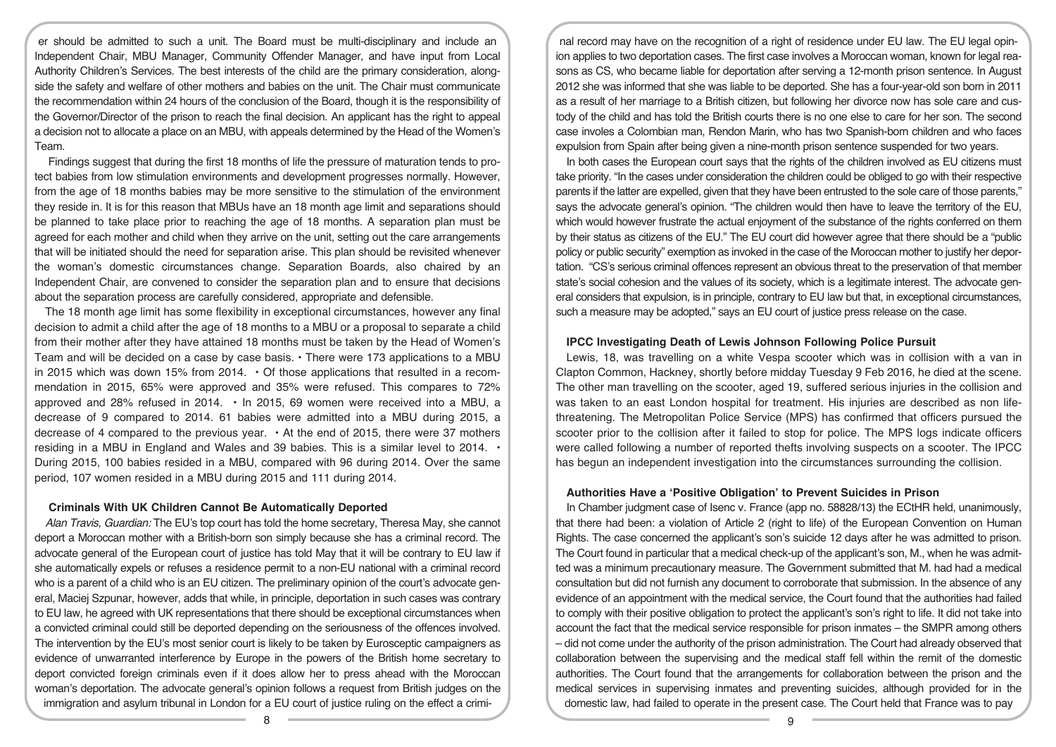er should be admitted to such a unit. The Board must be multi-disciplinary and include an Independent Chair, MBU Manager, Community Offender Manager, and have input from Local Authority Children's Services. The best interests of the child are the primary consideration, alongside the safety and welfare of other mothers and babies on the unit. The Chair must communicate the recommendation within 24 hours of the conclusion of the Board, though it is the responsibility of the Governor/Director of the prison to reach the final decision. An applicant has the right to appeal a decision not to allocate a place on an MBU, with appeals determined by the Head of the Women's Team.

Findings suggest that during the first 18 months of life the pressure of maturation tends to protect babies from low stimulation environments and development progresses normally. However, from the age of 18 months babies may be more sensitive to the stimulation of the environment they reside in. It is for this reason that MBUs have an 18 month age limit and separations should be planned to take place prior to reaching the age of 18 months. A separation plan must be agreed for each mother and child when they arrive on the unit, setting out the care arrangements that will be initiated should the need for separation arise. This plan should be revisited whenever the woman's domestic circumstances change. Separation Boards, also chaired by an Independent Chair, are convened to consider the separation plan and to ensure that decisions about the separation process are carefully considered, appropriate and defensible.

The 18 month age limit has some flexibility in exceptional circumstances, however any final decision to admit a child after the age of 18 months to a MBU or a proposal to separate a child from their mother after they have attained 18 months must be taken by the Head of Women's Team and will be decided on a case by case basis. • There were 173 applications to a MBU in 2015 which was down 15% from 2014. • Of those applications that resulted in a recommendation in 2015, 65% were approved and 35% were refused. This compares to 72% approved and 28% refused in 2014. • In 2015, 69 women were received into a MBU, a decrease of 9 compared to 2014. 61 babies were admitted into a MBU during 2015, a decrease of 4 compared to the previous year. • At the end of 2015, there were 37 mothers residing in a MBU in England and Wales and 39 babies. This is a similar level to 2014. • During 2015, 100 babies resided in a MBU, compared with 96 during 2014. Over the same period, 107 women resided in a MBU during 2015 and 111 during 2014.

#### **Criminals With UK Children Cannot Be Automatically Deported**

*Alan Travis, Guardian:* The EU's top court has told the home secretary, Theresa May, she cannot deport a Moroccan mother with a British-born son simply because she has a criminal record. The advocate general of the European court of justice has told May that it will be contrary to EU law if she automatically expels or refuses a residence permit to a non-EU national with a criminal record who is a parent of a child who is an EU citizen. The preliminary opinion of the court's advocate general, Maciej Szpunar, however, adds that while, in principle, deportation in such cases was contrary to EU law, he agreed with UK representations that there should be exceptional circumstances when a convicted criminal could still be deported depending on the seriousness of the offences involved. The intervention by the EU's most senior court is likely to be taken by Eurosceptic campaigners as evidence of unwarranted interference by Europe in the powers of the British home secretary to deport convicted foreign criminals even if it does allow her to press ahead with the Moroccan woman's deportation. The advocate general's opinion follows a request from British judges on the immigration and asylum tribunal in London for a EU court of justice ruling on the effect a crimi-

nal record may have on the recognition of a right of residence under EU law. The EU legal opinion applies to two deportation cases. The first case involves a Moroccan woman, known for legal reasons as CS, who became liable for deportation after serving a 12-month prison sentence. In August 2012 she was informed that she was liable to be deported. She has a four-year-old son born in 2011 as a result of her marriage to a British citizen, but following her divorce now has sole care and custody of the child and has told the British courts there is no one else to care for her son. The second case involes a Colombian man, Rendon Marin, who has two Spanish-born children and who faces expulsion from Spain after being given a nine-month prison sentence suspended for two years.

In both cases the European court says that the rights of the children involved as EU citizens must take priority. "In the cases under consideration the children could be obliged to go with their respective parents if the latter are expelled, given that they have been entrusted to the sole care of those parents," says the advocate general's opinion. "The children would then have to leave the territory of the EU, which would however frustrate the actual enjoyment of the substance of the rights conferred on them by their status as citizens of the EU." The EU court did however agree that there should be a "public policy or public security" exemption as invoked in the case of the Moroccan mother to justify her deportation. "CS's serious criminal offences represent an obvious threat to the preservation of that member state's social cohesion and the values of its society, which is a legitimate interest. The advocate general considers that expulsion, is in principle, contrary to EU law but that, in exceptional circumstances, such a measure may be adopted," says an EU court of justice press release on the case.

# **IPCC Investigating Death of Lewis Johnson Following Police Pursuit**

Lewis, 18, was travelling on a white Vespa scooter which was in collision with a van in Clapton Common, Hackney, shortly before midday Tuesday 9 Feb 2016, he died at the scene. The other man travelling on the scooter, aged 19, suffered serious injuries in the collision and was taken to an east London hospital for treatment. His injuries are described as non lifethreatening. The Metropolitan Police Service (MPS) has confirmed that officers pursued the scooter prior to the collision after it failed to stop for police. The MPS logs indicate officers were called following a number of reported thefts involving suspects on a scooter. The IPCC has begun an independent investigation into the circumstances surrounding the collision.

# **Authorities Have a 'Positive Obligation' to Prevent Suicides in Prison**

In Chamber judgment case of Isenc v. France (app no. 58828/13) the ECtHR held, unanimously, that there had been: a violation of Article 2 (right to life) of the European Convention on Human Rights. The case concerned the applicant's son's suicide 12 days after he was admitted to prison. The Court found in particular that a medical check-up of the applicant's son, M., when he was admitted was a minimum precautionary measure. The Government submitted that M. had had a medical consultation but did not furnish any document to corroborate that submission. In the absence of any evidence of an appointment with the medical service, the Court found that the authorities had failed to comply with their positive obligation to protect the applicant's son's right to life. It did not take into account the fact that the medical service responsible for prison inmates – the SMPR among others – did not come under the authority of the prison administration. The Court had already observed that collaboration between the supervising and the medical staff fell within the remit of the domestic authorities. The Court found that the arrangements for collaboration between the prison and the medical services in supervising inmates and preventing suicides, although provided for in the domestic law, had failed to operate in the present case. The Court held that France was to pay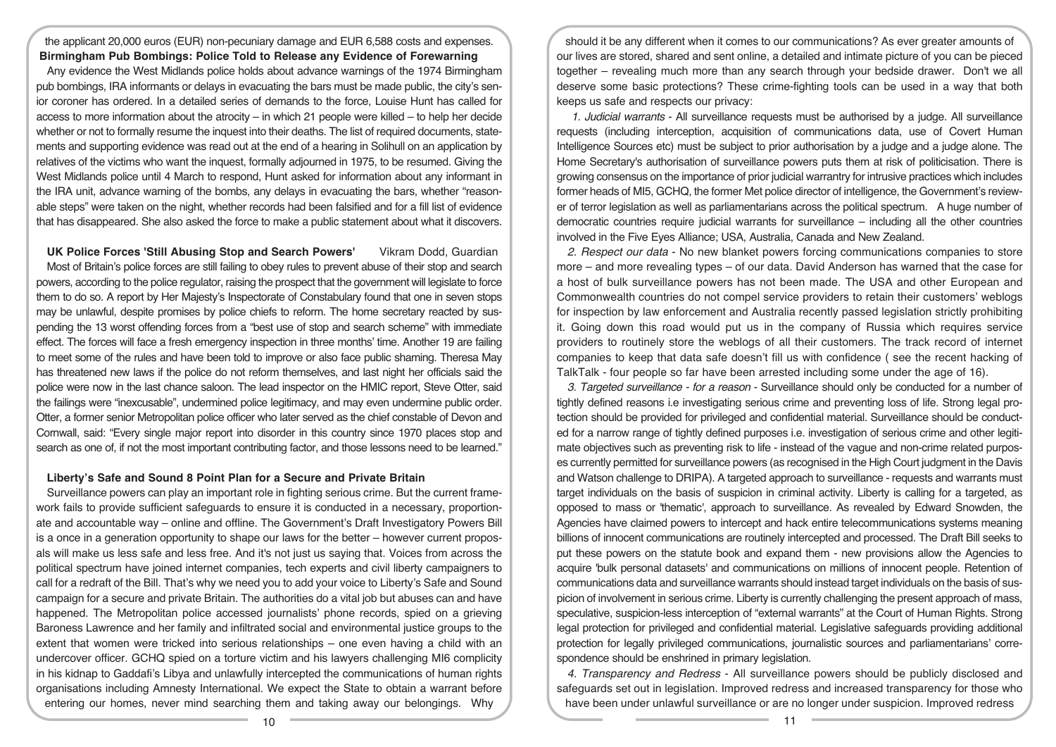the applicant 20,000 euros (EUR) non-pecuniary damage and EUR 6,588 costs and expenses. **Birmingham Pub Bombings: Police Told to Release any Evidence of Forewarning**

Any evidence the West Midlands police holds about advance warnings of the 1974 Birmingham pub bombings, IRA informants or delays in evacuating the bars must be made public, the city's senior coroner has ordered. In a detailed series of demands to the force, Louise Hunt has called for access to more information about the atrocity – in which 21 people were killed – to help her decide whether or not to formally resume the inquest into their deaths. The list of required documents, statements and supporting evidence was read out at the end of a hearing in Solihull on an application by relatives of the victims who want the inquest, formally adjourned in 1975, to be resumed. Giving the West Midlands police until 4 March to respond, Hunt asked for information about any informant in the IRA unit, advance warning of the bombs, any delays in evacuating the bars, whether "reasonable steps" were taken on the night, whether records had been falsified and for a fill list of evidence that has disappeared. She also asked the force to make a public statement about what it discovers.

**UK Police Forces 'Still Abusing Stop and Search Powers'** Vikram Dodd, Guardian Most of Britain's police forces are still failing to obey rules to prevent abuse of their stop and search powers, according to the police regulator, raising the prospect that the government will legislate to force them to do so. A report by Her Majesty's Inspectorate of Constabulary found that one in seven stops may be unlawful, despite promises by police chiefs to reform. The home secretary reacted by suspending the 13 worst offending forces from a "best use of stop and search scheme" with immediate effect. The forces will face a fresh emergency inspection in three months' time. Another 19 are failing to meet some of the rules and have been told to improve or also face public shaming. Theresa May has threatened new laws if the police do not reform themselves, and last night her officials said the police were now in the last chance saloon. The lead inspector on the HMIC report, Steve Otter, said the failings were "inexcusable", undermined police legitimacy, and may even undermine public order. Otter, a former senior Metropolitan police officer who later served as the chief constable of Devon and Cornwall, said: "Every single major report into disorder in this country since 1970 places stop and search as one of, if not the most important contributing factor, and those lessons need to be learned."

## **Liberty's Safe and Sound 8 Point Plan for a Secure and Private Britain**

Surveillance powers can play an important role in fighting serious crime. But the current framework fails to provide sufficient safeguards to ensure it is conducted in a necessary, proportionate and accountable way – online and offline. The Government's Draft Investigatory Powers Bill is a once in a generation opportunity to shape our laws for the better – however current proposals will make us less safe and less free. And it's not just us saying that. Voices from across the political spectrum have joined internet companies, tech experts and civil liberty campaigners to call for a redraft of the Bill. That's why we need you to add your voice to Liberty's Safe and Sound campaign for a secure and private Britain. The authorities do a vital job but abuses can and have happened. The Metropolitan police accessed journalists' phone records, spied on a grieving Baroness Lawrence and her family and infiltrated social and environmental justice groups to the extent that women were tricked into serious relationships – one even having a child with an undercover officer. GCHQ spied on a torture victim and his lawyers challenging MI6 complicity in his kidnap to Gaddafi's Libya and unlawfully intercepted the communications of human rights organisations including Amnesty International. We expect the State to obtain a warrant before entering our homes, never mind searching them and taking away our belongings. Why

should it be any different when it comes to our communications? As ever greater amounts of our lives are stored, shared and sent online, a detailed and intimate picture of you can be pieced together – revealing much more than any search through your bedside drawer. Don't we all deserve some basic protections? These crime-fighting tools can be used in a way that both keeps us safe and respects our privacy:

*1. Judicial warrants* - All surveillance requests must be authorised by a judge. All surveillance requests (including interception, acquisition of communications data, use of Covert Human Intelligence Sources etc) must be subject to prior authorisation by a judge and a judge alone. The Home Secretary's authorisation of surveillance powers puts them at risk of politicisation. There is growing consensus on the importance of prior judicial warrantry for intrusive practices which includes former heads of MI5, GCHQ, the former Met police director of intelligence, the Government's reviewer of terror legislation as well as parliamentarians across the political spectrum. A huge number of democratic countries require judicial warrants for surveillance – including all the other countries involved in the Five Eyes Alliance; USA, Australia, Canada and New Zealand.

*2. Respect our data* - No new blanket powers forcing communications companies to store more – and more revealing types – of our data. David Anderson has warned that the case for a host of bulk surveillance powers has not been made. The USA and other European and Commonwealth countries do not compel service providers to retain their customers' weblogs for inspection by law enforcement and Australia recently passed legislation strictly prohibiting it. Going down this road would put us in the company of Russia which requires service providers to routinely store the weblogs of all their customers. The track record of internet companies to keep that data safe doesn't fill us with confidence ( see the recent hacking of TalkTalk - four people so far have been arrested including some under the age of 16).

*3. Targeted surveillance - for a reason* - Surveillance should only be conducted for a number of tightly defined reasons i.e investigating serious crime and preventing loss of life. Strong legal protection should be provided for privileged and confidential material. Surveillance should be conducted for a narrow range of tightly defined purposes i.e. investigation of serious crime and other legitimate objectives such as preventing risk to life - instead of the vague and non-crime related purposes currently permitted for surveillance powers (as recognised in the High Court judgment in the Davis and Watson challenge to DRIPA). A targeted approach to surveillance - requests and warrants must target individuals on the basis of suspicion in criminal activity. Liberty is calling for a targeted, as opposed to mass or 'thematic', approach to surveillance. As revealed by Edward Snowden, the Agencies have claimed powers to intercept and hack entire telecommunications systems meaning billions of innocent communications are routinely intercepted and processed. The Draft Bill seeks to put these powers on the statute book and expand them - new provisions allow the Agencies to acquire 'bulk personal datasets' and communications on millions of innocent people. Retention of communications data and surveillance warrants should instead target individuals on the basis of suspicion of involvement in serious crime. Liberty is currently challenging the present approach of mass, speculative, suspicion-less interception of "external warrants" at the Court of Human Rights. Strong legal protection for privileged and confidential material. Legislative safeguards providing additional protection for legally privileged communications, journalistic sources and parliamentarians' correspondence should be enshrined in primary legislation.

*4. Transparency and Redress* - All surveillance powers should be publicly disclosed and safeguards set out in legislation. Improved redress and increased transparency for those who have been under unlawful surveillance or are no longer under suspicion. Improved redress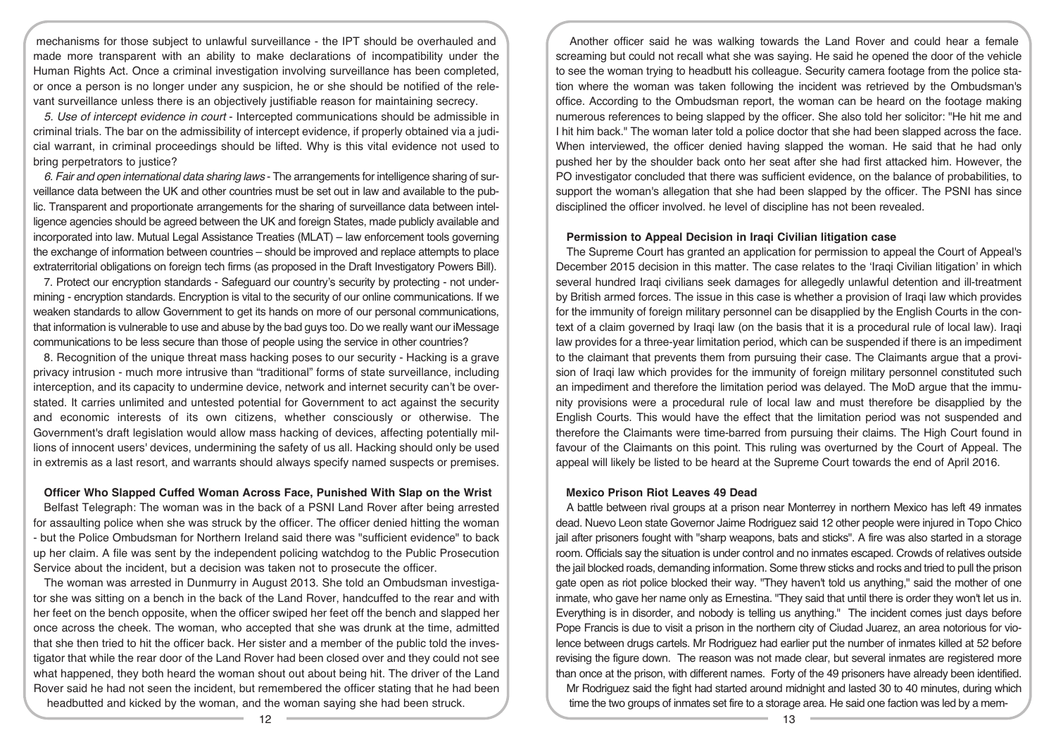mechanisms for those subject to unlawful surveillance - the IPT should be overhauled and made more transparent with an ability to make declarations of incompatibility under the Human Rights Act. Once a criminal investigation involving surveillance has been completed, or once a person is no longer under any suspicion, he or she should be notified of the relevant surveillance unless there is an objectively justifiable reason for maintaining secrecy.

*5. Use of intercept evidence in court* - Intercepted communications should be admissible in criminal trials. The bar on the admissibility of intercept evidence, if properly obtained via a judicial warrant, in criminal proceedings should be lifted. Why is this vital evidence not used to bring perpetrators to justice?

*6. Fair and open international data sharing laws* - The arrangements for intelligence sharing of surveillance data between the UK and other countries must be set out in law and available to the public. Transparent and proportionate arrangements for the sharing of surveillance data between intelligence agencies should be agreed between the UK and foreign States, made publicly available and incorporated into law. Mutual Legal Assistance Treaties (MLAT) – law enforcement tools governing the exchange of information between countries – should be improved and replace attempts to place extraterritorial obligations on foreign tech firms (as proposed in the Draft Investigatory Powers Bill).

7. Protect our encryption standards - Safeguard our country's security by protecting - not undermining - encryption standards. Encryption is vital to the security of our online communications. If we weaken standards to allow Government to get its hands on more of our personal communications, that information is vulnerable to use and abuse by the bad guys too. Do we really want our iMessage communications to be less secure than those of people using the service in other countries?

8. Recognition of the unique threat mass hacking poses to our security - Hacking is a grave privacy intrusion - much more intrusive than "traditional" forms of state surveillance, including interception, and its capacity to undermine device, network and internet security can't be overstated. It carries unlimited and untested potential for Government to act against the security and economic interests of its own citizens, whether consciously or otherwise. The Government's draft legislation would allow mass hacking of devices, affecting potentially millions of innocent users' devices, undermining the safety of us all. Hacking should only be used in extremis as a last resort, and warrants should always specify named suspects or premises.

# **Officer Who Slapped Cuffed Woman Across Face, Punished With Slap on the Wrist**

Belfast Telegraph: The woman was in the back of a PSNI Land Rover after being arrested for assaulting police when she was struck by the officer. The officer denied hitting the woman - but the Police Ombudsman for Northern Ireland said there was "sufficient evidence" to back up her claim. A file was sent by the independent policing watchdog to the Public Prosecution Service about the incident, but a decision was taken not to prosecute the officer.

The woman was arrested in Dunmurry in August 2013. She told an Ombudsman investigator she was sitting on a bench in the back of the Land Rover, handcuffed to the rear and with her feet on the bench opposite, when the officer swiped her feet off the bench and slapped her once across the cheek. The woman, who accepted that she was drunk at the time, admitted that she then tried to hit the officer back. Her sister and a member of the public told the investigator that while the rear door of the Land Rover had been closed over and they could not see what happened, they both heard the woman shout out about being hit. The driver of the Land Rover said he had not seen the incident, but remembered the officer stating that he had been headbutted and kicked by the woman, and the woman saying she had been struck.

Another officer said he was walking towards the Land Rover and could hear a female screaming but could not recall what she was saying. He said he opened the door of the vehicle to see the woman trying to headbutt his colleague. Security camera footage from the police station where the woman was taken following the incident was retrieved by the Ombudsman's office. According to the Ombudsman report, the woman can be heard on the footage making numerous references to being slapped by the officer. She also told her solicitor: "He hit me and I hit him back." The woman later told a police doctor that she had been slapped across the face. When interviewed, the officer denied having slapped the woman. He said that he had only pushed her by the shoulder back onto her seat after she had first attacked him. However, the PO investigator concluded that there was sufficient evidence, on the balance of probabilities, to support the woman's allegation that she had been slapped by the officer. The PSNI has since disciplined the officer involved. he level of discipline has not been revealed.

# **Permission to Appeal Decision in Iraqi Civilian litigation case**

The Supreme Court has granted an application for permission to appeal the Court of Appeal's December 2015 decision in this matter. The case relates to the 'Iraqi Civilian litigation' in which several hundred Iraqi civilians seek damages for allegedly unlawful detention and ill-treatment by British armed forces. The issue in this case is whether a provision of Iraqi law which provides for the immunity of foreign military personnel can be disapplied by the English Courts in the context of a claim governed by Iraqi law (on the basis that it is a procedural rule of local law). Iraqi law provides for a three-year limitation period, which can be suspended if there is an impediment to the claimant that prevents them from pursuing their case. The Claimants argue that a provision of Iraqi law which provides for the immunity of foreign military personnel constituted such an impediment and therefore the limitation period was delayed. The MoD argue that the immunity provisions were a procedural rule of local law and must therefore be disapplied by the English Courts. This would have the effect that the limitation period was not suspended and therefore the Claimants were time-barred from pursuing their claims. The High Court found in favour of the Claimants on this point. This ruling was overturned by the Court of Appeal. The appeal will likely be listed to be heard at the Supreme Court towards the end of April 2016.

# **Mexico Prison Riot Leaves 49 Dead**

A battle between rival groups at a prison near Monterrey in northern Mexico has left 49 inmates dead. Nuevo Leon state Governor Jaime Rodriguez said 12 other people were injured in Topo Chico jail after prisoners fought with "sharp weapons, bats and sticks". A fire was also started in a storage room. Officials say the situation is under control and no inmates escaped. Crowds of relatives outside the jail blocked roads, demanding information. Some threw sticks and rocks and tried to pull the prison gate open as riot police blocked their way. "They haven't told us anything," said the mother of one inmate, who gave her name only as Ernestina. "They said that until there is order they won't let us in. Everything is in disorder, and nobody is telling us anything." The incident comes just days before Pope Francis is due to visit a prison in the northern city of Ciudad Juarez, an area notorious for violence between drugs cartels. Mr Rodriguez had earlier put the number of inmates killed at 52 before revising the figure down. The reason was not made clear, but several inmates are registered more than once at the prison, with different names. Forty of the 49 prisoners have already been identified. Mr Rodriguez said the fight had started around midnight and lasted 30 to 40 minutes, during which time the two groups of inmates set fire to a storage area. He said one faction was led by a mem-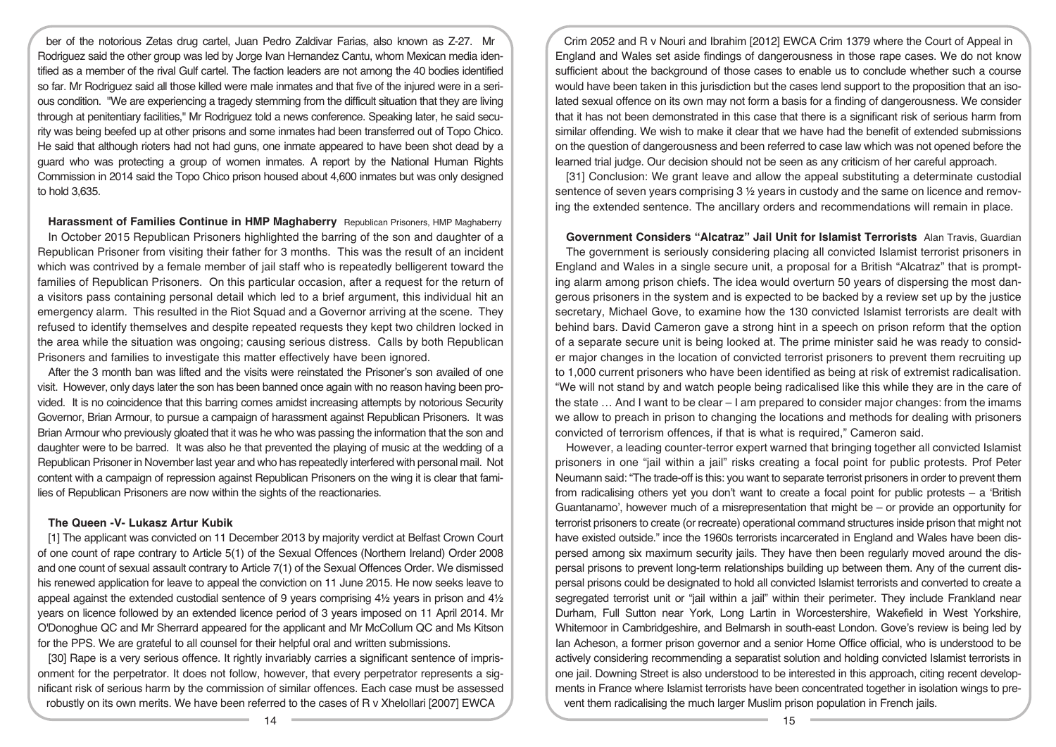ber of the notorious Zetas drug cartel, Juan Pedro Zaldivar Farias, also known as Z-27. Mr Rodriguez said the other group was led by Jorge Ivan Hernandez Cantu, whom Mexican media identified as a member of the rival Gulf cartel. The faction leaders are not among the 40 bodies identified so far. Mr Rodriguez said all those killed were male inmates and that five of the injured were in a serious condition. "We are experiencing a tragedy stemming from the difficult situation that they are living through at penitentiary facilities," Mr Rodriguez told a news conference. Speaking later, he said security was being beefed up at other prisons and some inmates had been transferred out of Topo Chico. He said that although rioters had not had guns, one inmate appeared to have been shot dead by a guard who was protecting a group of women inmates. A report by the National Human Rights Commission in 2014 said the Topo Chico prison housed about 4,600 inmates but was only designed to hold 3,635.

**Harassment of Families Continue in HMP Maghaberry** Republican Prisoners, HMP Maghaberry

In October 2015 Republican Prisoners highlighted the barring of the son and daughter of a Republican Prisoner from visiting their father for 3 months. This was the result of an incident which was contrived by a female member of jail staff who is repeatedly belligerent toward the families of Republican Prisoners. On this particular occasion, after a request for the return of a visitors pass containing personal detail which led to a brief argument, this individual hit an emergency alarm. This resulted in the Riot Squad and a Governor arriving at the scene. They refused to identify themselves and despite repeated requests they kept two children locked in the area while the situation was ongoing; causing serious distress. Calls by both Republican Prisoners and families to investigate this matter effectively have been ignored.

After the 3 month ban was lifted and the visits were reinstated the Prisoner's son availed of one visit. However, only days later the son has been banned once again with no reason having been provided. It is no coincidence that this barring comes amidst increasing attempts by notorious Security Governor, Brian Armour, to pursue a campaign of harassment against Republican Prisoners. It was Brian Armour who previously gloated that it was he who was passing the information that the son and daughter were to be barred. It was also he that prevented the playing of music at the wedding of a Republican Prisoner in November last year and who has repeatedly interfered with personal mail. Not content with a campaign of repression against Republican Prisoners on the wing it is clear that families of Republican Prisoners are now within the sights of the reactionaries.

#### **The Queen -V- Lukasz Artur Kubik**

[1] The applicant was convicted on 11 December 2013 by majority verdict at Belfast Crown Court of one count of rape contrary to Article 5(1) of the Sexual Offences (Northern Ireland) Order 2008 and one count of sexual assault contrary to Article 7(1) of the Sexual Offences Order. We dismissed his renewed application for leave to appeal the conviction on 11 June 2015. He now seeks leave to appeal against the extended custodial sentence of 9 years comprising 4½ years in prison and 4½ years on licence followed by an extended licence period of 3 years imposed on 11 April 2014. Mr O'Donoghue QC and Mr Sherrard appeared for the applicant and Mr McCollum QC and Ms Kitson for the PPS. We are grateful to all counsel for their helpful oral and written submissions.

[30] Rape is a very serious offence. It rightly invariably carries a significant sentence of imprisonment for the perpetrator. It does not follow, however, that every perpetrator represents a significant risk of serious harm by the commission of similar offences. Each case must be assessed robustly on its own merits. We have been referred to the cases of R v Xhelollari [2007] EWCA

Crim 2052 and R v Nouri and Ibrahim [2012] EWCA Crim 1379 where the Court of Appeal in England and Wales set aside findings of dangerousness in those rape cases. We do not know sufficient about the background of those cases to enable us to conclude whether such a course would have been taken in this jurisdiction but the cases lend support to the proposition that an isolated sexual offence on its own may not form a basis for a finding of dangerousness. We consider that it has not been demonstrated in this case that there is a significant risk of serious harm from similar offending. We wish to make it clear that we have had the benefit of extended submissions on the question of dangerousness and been referred to case law which was not opened before the learned trial judge. Our decision should not be seen as any criticism of her careful approach.

[31] Conclusion: We grant leave and allow the appeal substituting a determinate custodial sentence of seven years comprising 3  $\frac{1}{2}$  years in custody and the same on licence and removing the extended sentence. The ancillary orders and recommendations will remain in place.

**Government Considers "Alcatraz" Jail Unit for Islamist Terrorists** Alan Travis, Guardian The government is seriously considering placing all convicted Islamist terrorist prisoners in England and Wales in a single secure unit, a proposal for a British "Alcatraz" that is prompting alarm among prison chiefs. The idea would overturn 50 years of dispersing the most dangerous prisoners in the system and is expected to be backed by a review set up by the justice secretary, Michael Gove, to examine how the 130 convicted Islamist terrorists are dealt with behind bars. David Cameron gave a strong hint in a speech on prison reform that the option of a separate secure unit is being looked at. The prime minister said he was ready to consider major changes in the location of convicted terrorist prisoners to prevent them recruiting up to 1,000 current prisoners who have been identified as being at risk of extremist radicalisation. "We will not stand by and watch people being radicalised like this while they are in the care of the state … And I want to be clear – I am prepared to consider major changes: from the imams we allow to preach in prison to changing the locations and methods for dealing with prisoners convicted of terrorism offences, if that is what is required," Cameron said.

However, a leading counter-terror expert warned that bringing together all convicted Islamist prisoners in one "jail within a jail" risks creating a focal point for public protests. Prof Peter Neumann said: "The trade-off is this: you want to separate terrorist prisoners in order to prevent them from radicalising others yet you don't want to create a focal point for public protests – a 'British Guantanamo', however much of a misrepresentation that might be – or provide an opportunity for terrorist prisoners to create (or recreate) operational command structures inside prison that might not have existed outside." ince the 1960s terrorists incarcerated in England and Wales have been dispersed among six maximum security jails. They have then been regularly moved around the dispersal prisons to prevent long-term relationships building up between them. Any of the current dispersal prisons could be designated to hold all convicted Islamist terrorists and converted to create a segregated terrorist unit or "jail within a jail" within their perimeter. They include Frankland near Durham, Full Sutton near York, Long Lartin in Worcestershire, Wakefield in West Yorkshire, Whitemoor in Cambridgeshire, and Belmarsh in south-east London. Gove's review is being led by Ian Acheson, a former prison governor and a senior Home Office official, who is understood to be actively considering recommending a separatist solution and holding convicted Islamist terrorists in one jail. Downing Street is also understood to be interested in this approach, citing recent developments in France where Islamist terrorists have been concentrated together in isolation wings to prevent them radicalising the much larger Muslim prison population in French jails.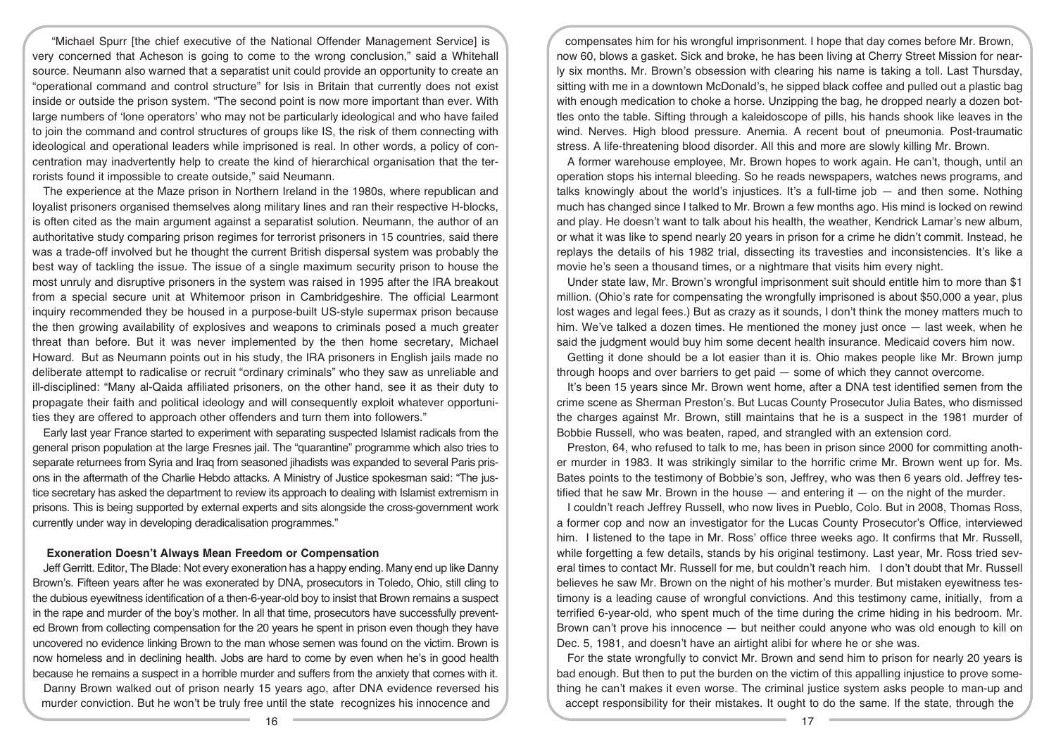"Michael Spurr [the chief executive of the National Offender Management Service] is very concerned that Acheson is going to come to the wrong conclusion," said a Whitehall source. Neumann also warned that a separatist unit could provide an opportunity to create an "operational command and control structure" for Isis in Britain that currently does not exist inside or outside the prison system. "The second point is now more important than ever. With large numbers of 'lone operators' who may not be particularly ideological and who have failed to join the command and control structures of groups like IS, the risk of them connecting with ideological and operational leaders while imprisoned is real. In other words, a policy of concentration may inadvertently help to create the kind of hierarchical organisation that the terrorists found it impossible to create outside," said Neumann.

The experience at the Maze prison in Northern Ireland in the 1980s, where republican and loyalist prisoners organised themselves along military lines and ran their respective H-blocks, is often cited as the main argument against a separatist solution. Neumann, the author of an authoritative study comparing prison regimes for terrorist prisoners in 15 countries, said there was a trade-off involved but he thought the current British dispersal system was probably the best way of tackling the issue. The issue of a single maximum security prison to house the most unruly and disruptive prisoners in the system was raised in 1995 after the IRA breakout from a special secure unit at Whitemoor prison in Cambridgeshire. The official Learmont inquiry recommended they be housed in a purpose-built US-style supermax prison because the then growing availability of explosives and weapons to criminals posed a much greater threat than before. But it was never implemented by the then home secretary, Michael Howard. But as Neumann points out in his study, the IRA prisoners in English jails made no deliberate attempt to radicalise or recruit "ordinary criminals" who they saw as unreliable and ill-disciplined: "Many al-Qaida affiliated prisoners, on the other hand, see it as their duty to propagate their faith and political ideology and will consequently exploit whatever opportunities they are offered to approach other offenders and turn them into followers."

Early last year France started to experiment with separating suspected Islamist radicals from the general prison population at the large Fresnes jail. The "quarantine" programme which also tries to separate returnees from Syria and Iraq from seasoned jihadists was expanded to several Paris prisons in the aftermath of the Charlie Hebdo attacks. A Ministry of Justice spokesman said: "The justice secretary has asked the department to review its approach to dealing with Islamist extremism in prisons. This is being supported by external experts and sits alongside the cross-government work currently under way in developing deradicalisation programmes."

### **Exoneration Doesn't Always Mean Freedom or Compensation**

Jeff Gerritt. Editor, The Blade: Not every exoneration has a happy ending. Many end up like Danny Brown's. Fifteen years after he was exonerated by DNA, prosecutors in Toledo, Ohio, still cling to the dubious eyewitness identification of a then-6-year-old boy to insist that Brown remains a suspect in the rape and murder of the boy's mother. In all that time, prosecutors have successfully prevented Brown from collecting compensation for the 20 years he spent in prison even though they have uncovered no evidence linking Brown to the man whose semen was found on the victim. Brown is now homeless and in declining health. Jobs are hard to come by even when he's in good health because he remains a suspect in a horrible murder and suffers from the anxiety that comes with it. Danny Brown walked out of prison nearly 15 years ago, after DNA evidence reversed his

murder conviction. But he won't be truly free until the state recognizes his innocence and

compensates him for his wrongful imprisonment. I hope that day comes before Mr. Brown, now 60, blows a gasket. Sick and broke, he has been living at Cherry Street Mission for nearly six months. Mr. Brown's obsession with clearing his name is taking a toll. Last Thursday, sitting with me in a downtown McDonald's, he sipped black coffee and pulled out a plastic bag with enough medication to choke a horse. Unzipping the bag, he dropped nearly a dozen bottles onto the table. Sifting through a kaleidoscope of pills, his hands shook like leaves in the wind. Nerves. High blood pressure. Anemia. A recent bout of pneumonia. Post-traumatic stress. A life-threatening blood disorder. All this and more are slowly killing Mr. Brown.

A former warehouse employee, Mr. Brown hopes to work again. He can't, though, until an operation stops his internal bleeding. So he reads newspapers, watches news programs, and talks knowingly about the world's injustices. It's a full-time job  $-$  and then some. Nothing much has changed since I talked to Mr. Brown a few months ago. His mind is locked on rewind and play. He doesn't want to talk about his health, the weather, Kendrick Lamar's new album, or what it was like to spend nearly 20 years in prison for a crime he didn't commit. Instead, he replays the details of his 1982 trial, dissecting its travesties and inconsistencies. It's like a movie he's seen a thousand times, or a nightmare that visits him every night.

Under state law, Mr. Brown's wrongful imprisonment suit should entitle him to more than \$1 million. (Ohio's rate for compensating the wrongfully imprisoned is about \$50,000 a year, plus lost wages and legal fees.) But as crazy as it sounds, I don't think the money matters much to him. We've talked a dozen times. He mentioned the money just once — last week, when he said the judgment would buy him some decent health insurance. Medicaid covers him now.

Getting it done should be a lot easier than it is. Ohio makes people like Mr. Brown jump through hoops and over barriers to get paid — some of which they cannot overcome.

It's been 15 years since Mr. Brown went home, after a DNA test identified semen from the crime scene as Sherman Preston's. But Lucas County Prosecutor Julia Bates, who dismissed the charges against Mr. Brown, still maintains that he is a suspect in the 1981 murder of Bobbie Russell, who was beaten, raped, and strangled with an extension cord.

Preston, 64, who refused to talk to me, has been in prison since 2000 for committing another murder in 1983. It was strikingly similar to the horrific crime Mr. Brown went up for. Ms. Bates points to the testimony of Bobbie's son, Jeffrey, who was then 6 years old. Jeffrey testified that he saw Mr. Brown in the house  $-$  and entering it  $-$  on the night of the murder.

I couldn't reach Jeffrey Russell, who now lives in Pueblo, Colo. But in 2008, Thomas Ross, a former cop and now an investigator for the Lucas County Prosecutor's Office, interviewed him. I listened to the tape in Mr. Ross' office three weeks ago. It confirms that Mr. Russell, while forgetting a few details, stands by his original testimony. Last year, Mr. Ross tried several times to contact Mr. Russell for me, but couldn't reach him. I don't doubt that Mr. Russell believes he saw Mr. Brown on the night of his mother's murder. But mistaken eyewitness testimony is a leading cause of wrongful convictions. And this testimony came, initially, from a terrified 6-year-old, who spent much of the time during the crime hiding in his bedroom. Mr. Brown can't prove his innocence — but neither could anyone who was old enough to kill on Dec. 5, 1981, and doesn't have an airtight alibi for where he or she was.

For the state wrongfully to convict Mr. Brown and send him to prison for nearly 20 years is bad enough. But then to put the burden on the victim of this appalling injustice to prove something he can't makes it even worse. The criminal justice system asks people to man-up and accept responsibility for their mistakes. It ought to do the same. If the state, through the